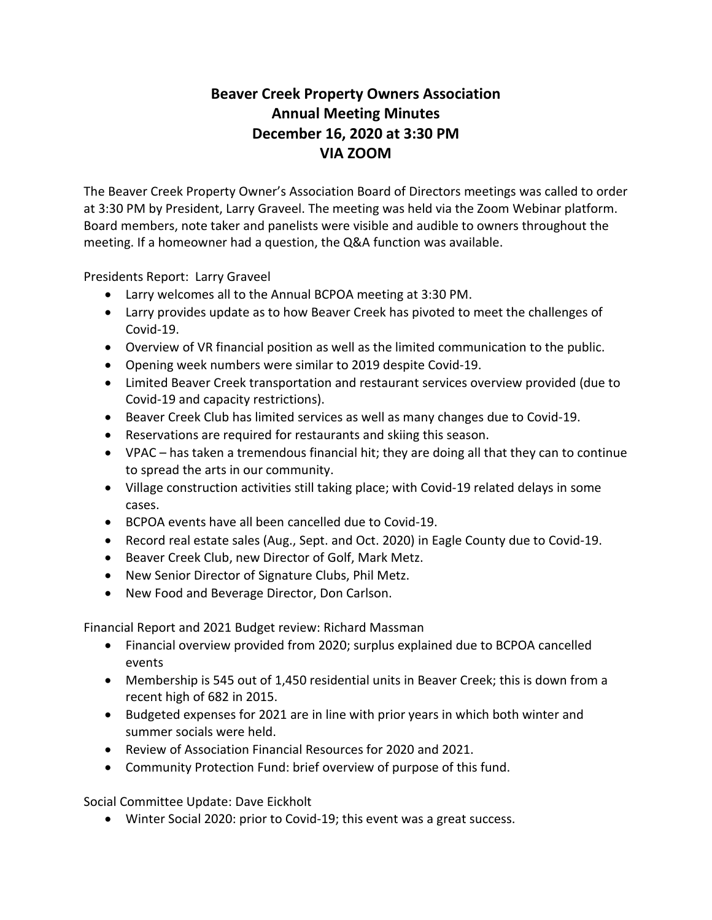## **Beaver Creek Property Owners Association Annual Meeting Minutes December 16, 2020 at 3:30 PM VIA ZOOM**

The Beaver Creek Property Owner's Association Board of Directors meetings was called to order at 3:30 PM by President, Larry Graveel. The meeting was held via the Zoom Webinar platform. Board members, note taker and panelists were visible and audible to owners throughout the meeting. If a homeowner had a question, the Q&A function was available.

Presidents Report: Larry Graveel

- Larry welcomes all to the Annual BCPOA meeting at 3:30 PM.
- Larry provides update as to how Beaver Creek has pivoted to meet the challenges of Covid-19.
- Overview of VR financial position as well as the limited communication to the public.
- Opening week numbers were similar to 2019 despite Covid-19.
- Limited Beaver Creek transportation and restaurant services overview provided (due to Covid-19 and capacity restrictions).
- Beaver Creek Club has limited services as well as many changes due to Covid-19.
- Reservations are required for restaurants and skiing this season.
- VPAC has taken a tremendous financial hit; they are doing all that they can to continue to spread the arts in our community.
- Village construction activities still taking place; with Covid-19 related delays in some cases.
- BCPOA events have all been cancelled due to Covid-19.
- Record real estate sales (Aug., Sept. and Oct. 2020) in Eagle County due to Covid-19.
- Beaver Creek Club, new Director of Golf, Mark Metz.
- New Senior Director of Signature Clubs, Phil Metz.
- New Food and Beverage Director, Don Carlson.

Financial Report and 2021 Budget review: Richard Massman

- Financial overview provided from 2020; surplus explained due to BCPOA cancelled events
- Membership is 545 out of 1,450 residential units in Beaver Creek; this is down from a recent high of 682 in 2015.
- Budgeted expenses for 2021 are in line with prior years in which both winter and summer socials were held.
- Review of Association Financial Resources for 2020 and 2021.
- Community Protection Fund: brief overview of purpose of this fund.

Social Committee Update: Dave Eickholt

• Winter Social 2020: prior to Covid-19; this event was a great success.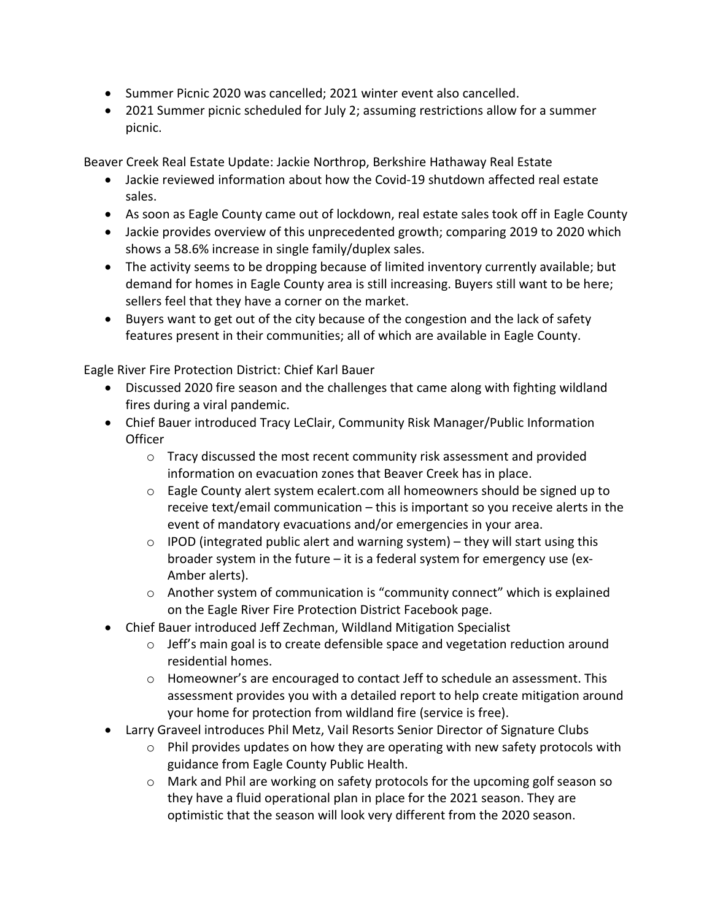- Summer Picnic 2020 was cancelled; 2021 winter event also cancelled.
- 2021 Summer picnic scheduled for July 2; assuming restrictions allow for a summer picnic.

Beaver Creek Real Estate Update: Jackie Northrop, Berkshire Hathaway Real Estate

- Jackie reviewed information about how the Covid-19 shutdown affected real estate sales.
- As soon as Eagle County came out of lockdown, real estate sales took off in Eagle County
- Jackie provides overview of this unprecedented growth; comparing 2019 to 2020 which shows a 58.6% increase in single family/duplex sales.
- The activity seems to be dropping because of limited inventory currently available; but demand for homes in Eagle County area is still increasing. Buyers still want to be here; sellers feel that they have a corner on the market.
- Buyers want to get out of the city because of the congestion and the lack of safety features present in their communities; all of which are available in Eagle County.

Eagle River Fire Protection District: Chief Karl Bauer

- Discussed 2020 fire season and the challenges that came along with fighting wildland fires during a viral pandemic.
- Chief Bauer introduced Tracy LeClair, Community Risk Manager/Public Information **Officer** 
	- $\circ$  Tracy discussed the most recent community risk assessment and provided information on evacuation zones that Beaver Creek has in place.
	- $\circ$  Eagle County alert system ecalert.com all homeowners should be signed up to receive text/email communication – this is important so you receive alerts in the event of mandatory evacuations and/or emergencies in your area.
	- $\circ$  IPOD (integrated public alert and warning system) they will start using this broader system in the future – it is a federal system for emergency use (ex-Amber alerts).
	- $\circ$  Another system of communication is "community connect" which is explained on the Eagle River Fire Protection District Facebook page.
- Chief Bauer introduced Jeff Zechman, Wildland Mitigation Specialist
	- o Jeff's main goal is to create defensible space and vegetation reduction around residential homes.
	- $\circ$  Homeowner's are encouraged to contact Jeff to schedule an assessment. This assessment provides you with a detailed report to help create mitigation around your home for protection from wildland fire (service is free).
- Larry Graveel introduces Phil Metz, Vail Resorts Senior Director of Signature Clubs
	- o Phil provides updates on how they are operating with new safety protocols with guidance from Eagle County Public Health.
	- o Mark and Phil are working on safety protocols for the upcoming golf season so they have a fluid operational plan in place for the 2021 season. They are optimistic that the season will look very different from the 2020 season.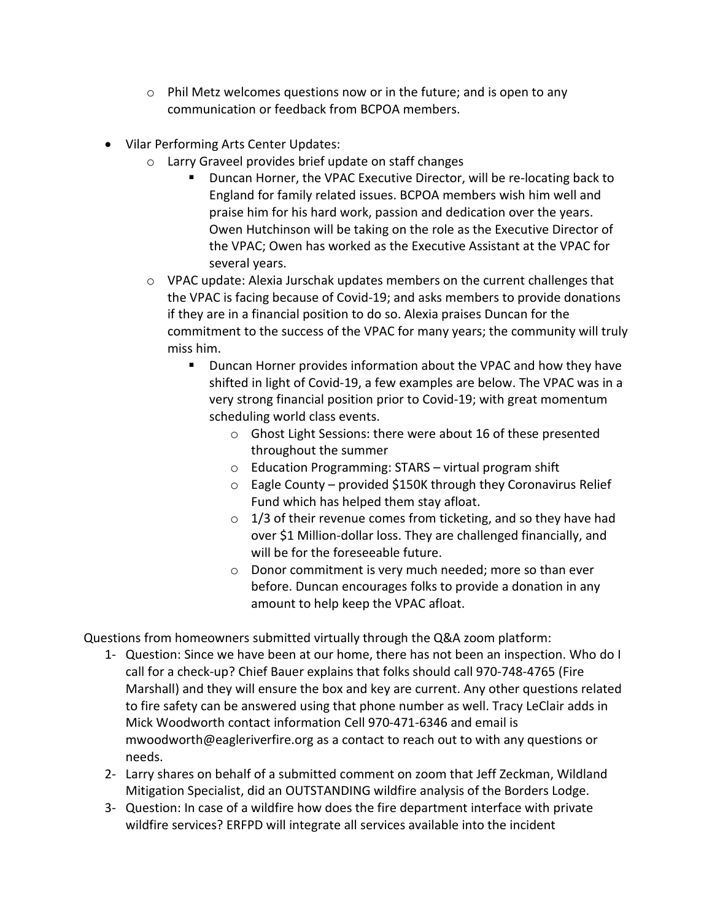- $\circ$  Phil Metz welcomes questions now or in the future; and is open to any communication or feedback from BCPOA members.
- Vilar Performing Arts Center Updates:
	- o Larry Graveel provides brief update on staff changes
		- Duncan Horner, the VPAC Executive Director, will be re-locating back to England for family related issues. BCPOA members wish him well and praise him for his hard work, passion and dedication over the years. Owen Hutchinson will be taking on the role as the Executive Director of the VPAC; Owen has worked as the Executive Assistant at the VPAC for several years.
	- o VPAC update: Alexia Jurschak updates members on the current challenges that the VPAC is facing because of Covid-19; and asks members to provide donations if they are in a financial position to do so. Alexia praises Duncan for the commitment to the success of the VPAC for many years; the community will truly miss him.
		- Duncan Horner provides information about the VPAC and how they have shifted in light of Covid-19, a few examples are below. The VPAC was in a very strong financial position prior to Covid-19; with great momentum scheduling world class events.
			- o Ghost Light Sessions: there were about 16 of these presented throughout the summer
			- o Education Programming: STARS virtual program shift
			- $\circ$  Eagle County provided \$150K through they Coronavirus Relief Fund which has helped them stay afloat.
			- $\circ$  1/3 of their revenue comes from ticketing, and so they have had over \$1 Million-dollar loss. They are challenged financially, and will be for the foreseeable future.
			- o Donor commitment is very much needed; more so than ever before. Duncan encourages folks to provide a donation in any amount to help keep the VPAC afloat.

Questions from homeowners submitted virtually through the Q&A zoom platform:

- 1- Question: Since we have been at our home, there has not been an inspection. Who do I call for a check-up? Chief Bauer explains that folks should call 970-748-4765 (Fire Marshall) and they will ensure the box and key are current. Any other questions related to fire safety can be answered using that phone number as well. Tracy LeClair adds in Mick Woodworth contact information Cell 970-471-6346 and email is [mwoodworth@eagleriverfire.org](mailto:mwoodworth@eagleriverfire.org) as a contact to reach out to with any questions or needs.
- 2- Larry shares on behalf of a submitted comment on zoom that Jeff Zeckman, Wildland Mitigation Specialist, did an OUTSTANDING wildfire analysis of the Borders Lodge.
- 3- Question: In case of a wildfire how does the fire department interface with private wildfire services? ERFPD will integrate all services available into the incident